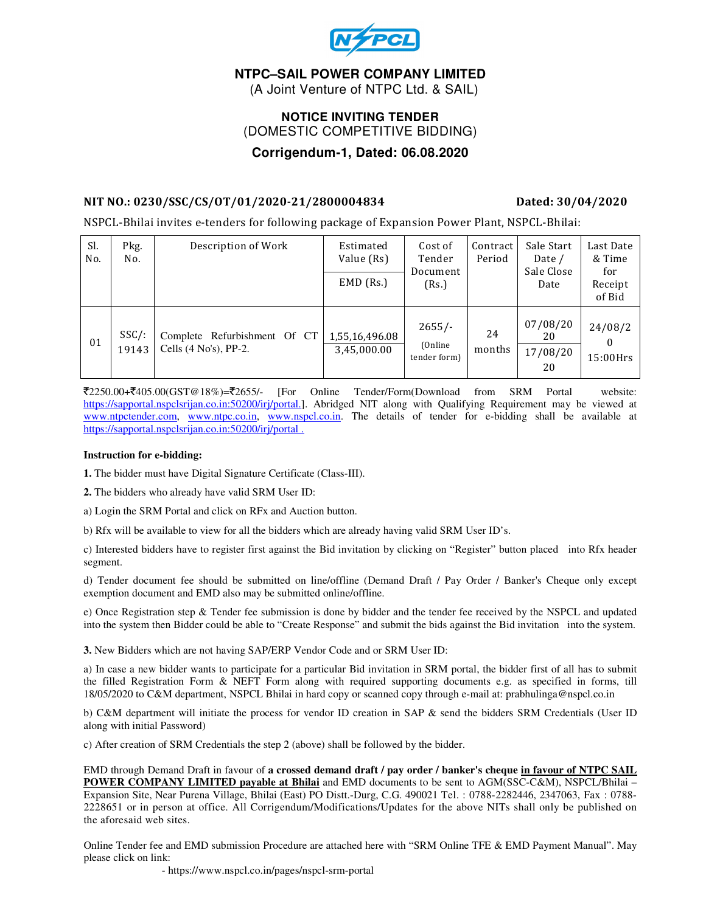

# **NTPC–SAIL POWER COMPANY LIMITED**

(A Joint Venture of NTPC Ltd. & SAIL)

### **NOTICE INVITING TENDER**  (DOMESTIC COMPETITIVE BIDDING)

# **Corrigendum-1, Dated: 06.08.2020**

#### NIT NO.: 0230/SSC/CS/OT/01/2020-21/2800004834 Dated: 30/04/2020

NSPCL-Bhilai invites e-tenders for following package of Expansion Power Plant, NSPCL-Bhilai:

| Sl.<br>No. | Pkg.<br>No.       | Description of Work                                      | Estimated<br>Value (Rs)<br>$EMD$ (Rs.) | Cost of<br>Tender<br>Document<br>(Rs.) | Contract<br>Period | Sale Start<br>Date /<br>Sale Close<br>Date | Last Date<br>& Time<br>for<br>Receipt<br>of Bid |
|------------|-------------------|----------------------------------------------------------|----------------------------------------|----------------------------------------|--------------------|--------------------------------------------|-------------------------------------------------|
| 01         | $SSC/$ :<br>19143 | Complete Refurbishment Of CT<br>Cells $(4 No's)$ , PP-2. | 1,55,16,496.08<br>3,45,000.00          | $2655/-$<br>(Online)<br>tender form)   | 24<br>months       | 07/08/20<br>20<br>17/08/20<br>20           | 24/08/2<br>$15:00$ Hrs                          |

 $\overline{\mathcal{F}}2250.00+\overline{\mathcal{F}}405.00(GST@18\%)=\overline{\mathcal{F}}2655/$  [For Online Tender/Form(Download from SRM Portal website: https://sapportal.nspclsrijan.co.in:50200/irj/portal.]. Abridged NIT along with Qualifying Requirement may be viewed at www.ntpctender.com, www.ntpc.co.in, www.nspcl.co.in. The details of tender for e-bidding shall be available at https://sapportal.nspclsrijan.co.in:50200/irj/portal .

#### **Instruction for e-bidding:**

**1.** The bidder must have Digital Signature Certificate (Class-III).

**2.** The bidders who already have valid SRM User ID:

a) Login the SRM Portal and click on RFx and Auction button.

b) Rfx will be available to view for all the bidders which are already having valid SRM User ID's.

c) Interested bidders have to register first against the Bid invitation by clicking on "Register" button placed into Rfx header segment.

d) Tender document fee should be submitted on line/offline (Demand Draft / Pay Order / Banker's Cheque only except exemption document and EMD also may be submitted online/offline.

e) Once Registration step & Tender fee submission is done by bidder and the tender fee received by the NSPCL and updated into the system then Bidder could be able to "Create Response" and submit the bids against the Bid invitation into the system.

**3.** New Bidders which are not having SAP/ERP Vendor Code and or SRM User ID:

a) In case a new bidder wants to participate for a particular Bid invitation in SRM portal, the bidder first of all has to submit the filled Registration Form & NEFT Form along with required supporting documents e.g. as specified in forms, till 18/05/2020 to C&M department, NSPCL Bhilai in hard copy or scanned copy through e-mail at: prabhulinga@nspcl.co.in

b) C&M department will initiate the process for vendor ID creation in SAP & send the bidders SRM Credentials (User ID along with initial Password)

c) After creation of SRM Credentials the step 2 (above) shall be followed by the bidder.

EMD through Demand Draft in favour of **a crossed demand draft / pay order / banker's cheque in favour of NTPC SAIL POWER COMPANY LIMITED payable at Bhilai** and EMD documents to be sent to AGM(SSC-C&M), NSPCL/Bhilai – Expansion Site, Near Purena Village, Bhilai (East) PO Distt.-Durg, C.G. 490021 Tel. : 0788-2282446, 2347063, Fax : 0788- 2228651 or in person at office. All Corrigendum/Modifications/Updates for the above NITs shall only be published on the aforesaid web sites.

Online Tender fee and EMD submission Procedure are attached here with "SRM Online TFE & EMD Payment Manual". May please click on link:

- https://www.nspcl.co.in/pages/nspcl-srm-portal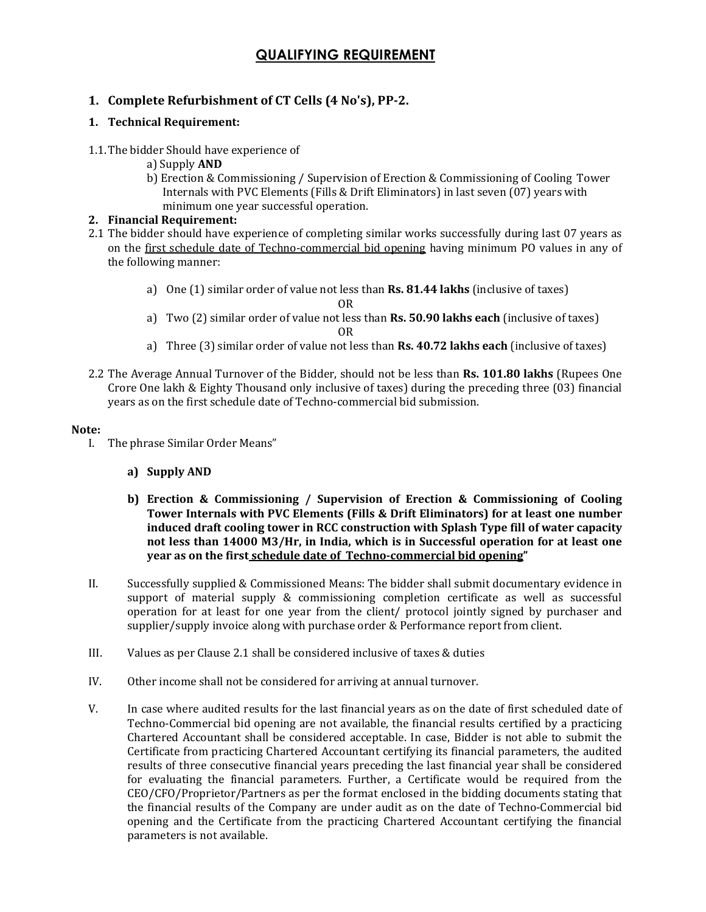# QUALIFYING REQUIREMENT

# 1. Complete Refurbishment of CT Cells (4 No's), PP-2.

### 1. Technical Requirement:

- 1.1.The bidder Should have experience of
	- a) Supply AND
	- b) Erection & Commissioning / Supervision of Erection & Commissioning of Cooling Tower Internals with PVC Elements (Fills & Drift Eliminators) in last seven (07) years with minimum one year successful operation.

#### 2. Financial Requirement:

- 2.1 The bidder should have experience of completing similar works successfully during last 07 years as on the first schedule date of Techno-commercial bid opening having minimum PO values in any of the following manner:
	- a) One (1) similar order of value not less than Rs. 81.44 lakhs (inclusive of taxes) OR
	- a) Two (2) similar order of value not less than Rs. 50.90 lakhs each (inclusive of taxes) OR
	- a) Three (3) similar order of value not less than Rs. 40.72 lakhs each (inclusive of taxes)
- 2.2 The Average Annual Turnover of the Bidder, should not be less than **Rs. 101.80 lakhs** (Rupees One Crore One lakh & Eighty Thousand only inclusive of taxes) during the preceding three (03) financial years as on the first schedule date of Techno-commercial bid submission.

#### Note:

- I. The phrase Similar Order Means"
	- a) Supply AND
	- b) Erection & Commissioning / Supervision of Erection & Commissioning of Cooling Tower Internals with PVC Elements (Fills & Drift Eliminators) for at least one number induced draft cooling tower in RCC construction with Splash Type fill of water capacity not less than 14000 M3/Hr, in India, which is in Successful operation for at least one year as on the first schedule date of Techno-commercial bid opening"
- II. Successfully supplied & Commissioned Means: The bidder shall submit documentary evidence in support of material supply & commissioning completion certificate as well as successful operation for at least for one year from the client/ protocol jointly signed by purchaser and supplier/supply invoice along with purchase order & Performance report from client.
- III. Values as per Clause 2.1 shall be considered inclusive of taxes & duties
- IV. Other income shall not be considered for arriving at annual turnover.
- V. In case where audited results for the last financial years as on the date of first scheduled date of Techno-Commercial bid opening are not available, the financial results certified by a practicing Chartered Accountant shall be considered acceptable. In case, Bidder is not able to submit the Certificate from practicing Chartered Accountant certifying its financial parameters, the audited results of three consecutive financial years preceding the last financial year shall be considered for evaluating the financial parameters. Further, a Certificate would be required from the CEO/CFO/Proprietor/Partners as per the format enclosed in the bidding documents stating that the financial results of the Company are under audit as on the date of Techno-Commercial bid opening and the Certificate from the practicing Chartered Accountant certifying the financial parameters is not available.